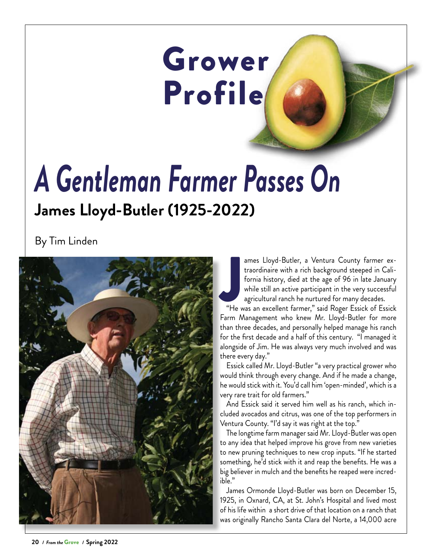## Grower Profile

## *A Gentleman Farmer Passes On* **James Lloyd-Butler (1925-2022)**

By Tim Linden



ames Lioya-Butier, a ventura County rarmer ex-<br>traordinaire with a rich background steeped in Cali-<br>fornia history, died at the age of 96 in late January<br>while still an active participant in the very successful<br>agricultura ames Lloyd-Butler, a Ventura County farmer extraordinaire with a rich background steeped in California history, died at the age of 96 in late January while still an active participant in the very successful agricultural ranch he nurtured for many decades.

Farm Management who knew Mr. Lloyd-Butler for more than three decades, and personally helped manage his ranch for the first decade and a half of this century. "I managed it alongside of Jim. He was always very much involved and was there every day."

Essick called Mr. Lloyd-Butler "a very practical grower who would think through every change. And if he made a change, he would stick with it. You'd call him 'open-minded', which is a very rare trait for old farmers."

And Essick said it served him well as his ranch, which included avocados and citrus, was one of the top performers in Ventura County. "I'd say it was right at the top."

The longtime farm manager said Mr. Lloyd-Butler was open to any idea that helped improve his grove from new varieties to new pruning techniques to new crop inputs. "If he started something, he'd stick with it and reap the benefits. He was a big believer in mulch and the benefits he reaped were incredible."

James Ormonde Lloyd-Butler was born on December 15, 1925, in Oxnard, CA, at St. John's Hospital and lived most of his life within a short drive of that location on a ranch that was originally Rancho Santa Clara del Norte, a 14,000 acre

**20 /** *From the* Grove **/ Spring 2022**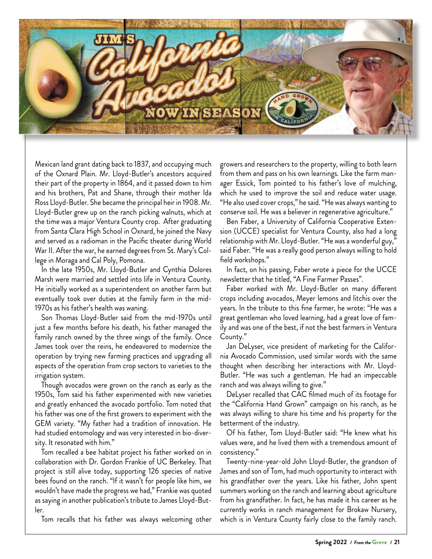

Mexican land grant dating back to 1837, and occupying much of the Oxnard Plain. Mr. Lloyd-Butler's ancestors acquired their part of the property in 1864, and it passed down to him and his brothers, Pat and Shane, through their mother Ida Ross Lloyd-Butler. She became the principal heir in 1908. Mr. Lloyd-Butler grew up on the ranch picking walnuts, which at the time was a major Ventura County crop. After graduating from Santa Clara High School in Oxnard, he joined the Navy and served as a radioman in the Pacific theater during World War II. After the war, he earned degrees from St. Mary's College in Moraga and Cal Poly, Pomona.

In the late 1950s, Mr. Lloyd-Butler and Cynthia Dolores Marsh were married and settled into life in Ventura County. He initially worked as a superintendent on another farm but eventually took over duties at the family farm in the mid-1970s as his father's health was waning.

Son Thomas Lloyd-Butler said from the mid-1970s until just a few months before his death, his father managed the family ranch owned by the three wings of the family. Once James took over the reins, he endeavored to modernize the operation by trying new farming practices and upgrading all aspects of the operation from crop sectors to varieties to the irrigation system.

Though avocados were grown on the ranch as early as the 1950s, Tom said his father experimented with new varieties and greatly enhanced the avocado portfolio. Tom noted that his father was one of the first growers to experiment with the GEM variety. "My father had a tradition of innovation. He had studied entomology and was very interested in bio-diversity. It resonated with him."

Tom recalled a bee habitat project his father worked on in collaboration with Dr. Gordon Frankie of UC Berkeley. That project is still alive today, supporting 126 species of native bees found on the ranch. "If it wasn't for people like him, we wouldn't have made the progress we had," Frankie was quoted as saying in another publication's tribute to James Lloyd-Butler.

Tom recalls that his father was always welcoming other

growers and researchers to the property, willing to both learn from them and pass on his own learnings. Like the farm manager Essick, Tom pointed to his father's love of mulching, which he used to improve the soil and reduce water usage. "He also used cover crops," he said. "He was always wanting to conserve soil. He was a believer in regenerative agriculture."

Ben Faber, a University of California Cooperative Extension (UCCE) specialist for Ventura County, also had a long relationship with Mr. Lloyd-Butler. "He was a wonderful guy," said Faber. "He was a really good person always willing to hold field workshops."

In fact, on his passing, Faber wrote a piece for the UCCE newsletter that he titled, "A Fine Farmer Passes".

Faber worked with Mr. Lloyd-Butler on many different crops including avocados, Meyer lemons and litchis over the years. In the tribute to this fine farmer, he wrote: "He was a great gentleman who loved learning, had a great love of family and was one of the best, if not the best farmers in Ventura County."

Jan DeLyser, vice president of marketing for the California Avocado Commission, used similar words with the same thought when describing her interactions with Mr. Lloyd-Butler. "He was such a gentleman. He had an impeccable ranch and was always willing to give."

DeLyser recalled that CAC filmed much of its footage for the "California Hand Grown" campaign on his ranch, as he was always willing to share his time and his property for the betterment of the industry.

Of his father, Tom Lloyd-Butler said: "He knew what his values were, and he lived them with a tremendous amount of consistency."

Twenty-nine-year-old John Lloyd-Butler, the grandson of James and son of Tom, had much opportunity to interact with his grandfather over the years. Like his father, John spent summers working on the ranch and learning about agriculture from his grandfather. In fact, he has made it his career as he currently works in ranch management for Brokaw Nursery, which is in Ventura County fairly close to the family ranch.